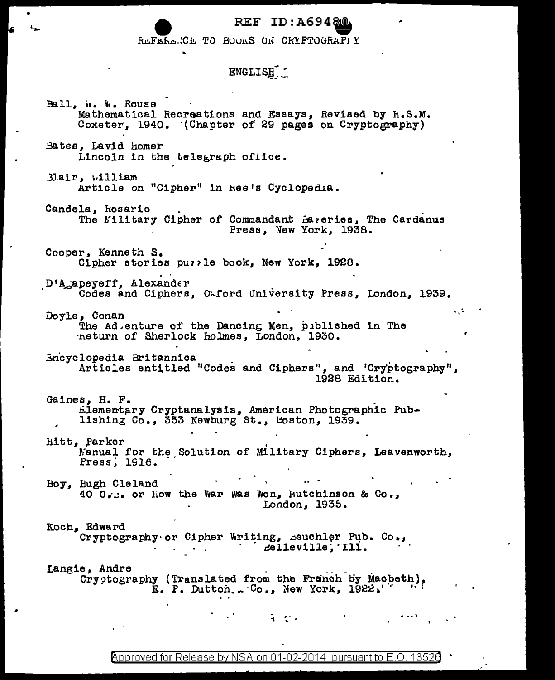REF ID: A69480

REFERENCE TO BOURS ON CRYPTOGRAPIY

## ENGLISH -

Ball, w. W. Rouse Mathematical Recreations and Essays, Revised by H.S.M. Coxeter, 1940. (Chapter of 29 pages on Cryptography) Bates, Lavid homer Lincoln in the telegraph office. Blair, William Article on "Cipher" in hee's Cyclopedia. Candela, kosario The Military Cipher of Commandant Bareries, The Cardanus Press, New York, 1938. Cooper. Kenneth S. Cipher stories puzzle book, New York, 1928. D'A<sub>G</sub>apeyeff, Alexander Codes and Ciphers. Oxford University Press, London. 1939. Doyle, Conan The Ad.enture of the Dancing Men, published in The heturn of Sherlock holmes, London, 1930. Encyclopedia Britannica Articles entitled "Codes and Ciphers", and 'Cryptography", 1928 Edition. Gaines, H. F. Llementary Cryptanalysis, American Photographic Publishing Co., 353 Newburg St., Boston, 1939. Hitt, Parker Manual for the Solution of Military Ciphers, Leavenworth. Press. 1916. Hoy, Hugh Cleland 40 0. s. or liow the War Was Won, Hutchinson & Co., London, 1935. Koch, Edward Cryptography or Cipher Writing, seuchler Pub. Co.,  $\mathcal{L}(\mathcal{A})$  , and  $\mathcal{L}(\mathcal{A})$  , and  $\mathcal{L}(\mathcal{A})$ celleville, Ill. Langie, Andre Cryptography (Translated from the Franch by Macbeth),  $E.$  P. Dutton,  $\sim$  Co., New York, 1922.  $\mathbf{A} = \mathbf{A} \mathbf{A} + \mathbf{A} \mathbf{A}$ 

Approved for Release by NSA on 01-02-2014 pursuant to E.O. 13526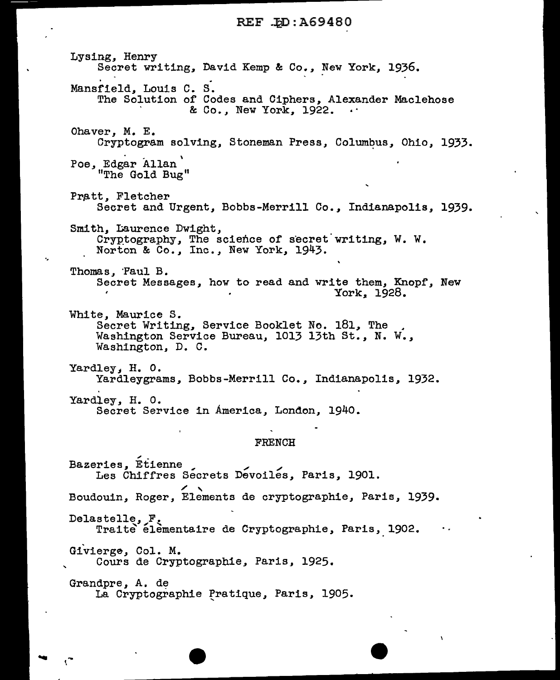Lysing, Henry<br>Secret writing, David Kemp & Co., New York, 1936.<br>Mansfield, Louis C. S. The Solution of Codes and Ciphers, Alexander Maclehose & Co., New York, 1922. Ohaver, M. E. Cryptogram solving, Stoneman Press, Columbus, Ohio, 1933. . \ *Poe,* Edgar Allan "The Gold Bug" Pratt, Fletcher Secret and Urgent, Bobbs-Merrill *Co.,* Indianapolis, 1939. Smith, Laurence Dwight, Cryptography, The science of secret writing, W. W. Norton & Co., Inc., New York, 1943 • Thomas. Paul B. Secret Messages, how to read and write them, Knopf, New York\_. 1928. White, Maurice s. Secret Writing, Service Booklet No. 181, The Washington Service Bureau, 1013 13th St., N. W., Washington, D. C. Yardley, H. O. Yardleygrams, Bobbs-Merrill Co., Indianapolis, 1932. Yardley, H. O. Secret Service in America, London, 1940. FRENCH Bazeries, Etienne Les Chiffres Secrets Devoiles, Paris, 1901. Boudouin, Roger, Elements de cryptographie, Paris, 1939. Delaatelle, F. Traite elementaire de Cryptographie, Paris, 1902. Givierge, Col. M. Cours de Cryptographie, Paris, 1925. Grandpre, A. de La Cryptographie Pratique, Paris, 1905.

..

'

 $\cdot$  .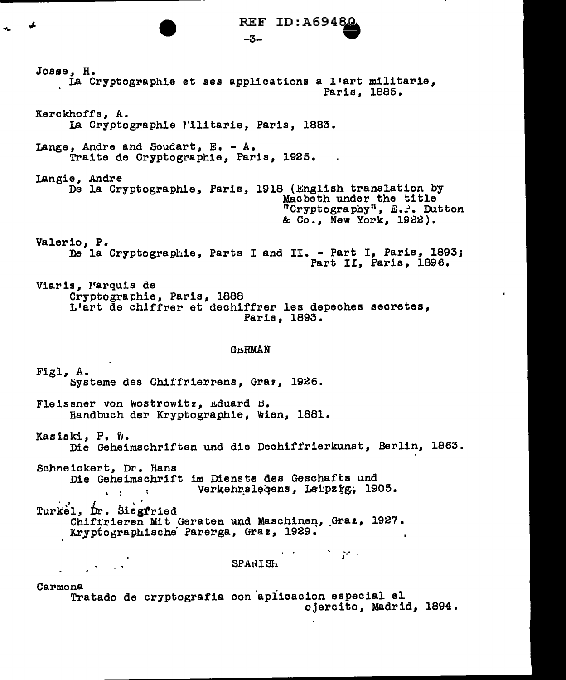REF ID:A6948.

 $-3-$ 

Josse, H. La Cryptographie et ses applications a l'art militarie. Paris. 1885. Kerckhoffs, A. La Cryptographie l'ilitarie, Paris, 1883. Lange. Andre and Soudart, E. - A. Traite de Cryptographie, Paris, 1925. Langie, Andre De la Cryptographie, Paris, 1918 (English translation by Macbeth under the title "Cryptography", E.P. Dutton & Co., New York, 1922). Valerio, P. De la Cryptographie, Parts I and II. - Part I, Paris, 1893; Part II, Paris, 1896. Viaris, Marquis de Cryptographie, Paris, 1888 L'art de chiffrer et dechiffrer les depeches secretes, Paris, 1893. **GHRMAN** Figl, A. Systeme des Chiffrierrens, Graz, 1926. Fleissner von Wostrowitz, Eduard B. Handbuch der Kryptographie, Wien, 1881. Kasiski, F. W. Die Geheimschriften und die Dechiffrierkunst, Berlin, 1863. Schneickert. Dr. Hans Die Geheimschrift im Dienste des Geschafts und Verkehrslebens, Leipzig, 1905.  $\mathbf{r} = \mathbf{r}$  and  $\mathbf{r} = \mathbf{r}$ Turkel, Dr. Siegfried Chiffrieren Mit Geraten und Maschinen, Graz, 1927. Kryptographische Parerga, Graz, 1929. わかし こうしょかん SPANISH  $\mathcal{L}^{(1)}$  and  $\mathcal{L}^{(2)}$ Carmona Tratado de cryptografia con aplicacion especial el ojercito, Madrid, 1894.